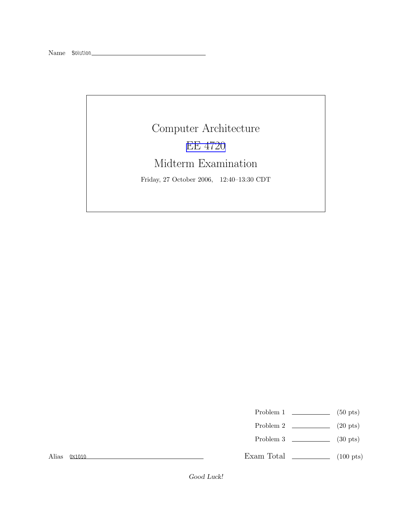## Computer Architecture EE [4720](http://www.ece.lsu.edu/ee4720/) Midterm Examination

Friday, 27 October 2006, 12:40–13:30 CDT

- Problem 1  $\qquad \qquad$  (50 pts)
- Problem 2  $\qquad \qquad$  (20 pts)
- Problem 3 (30 pts)

Alias 0x1010

Exam Total \_\_\_\_\_\_\_\_\_\_\_\_\_ (100 pts)

Good Luck!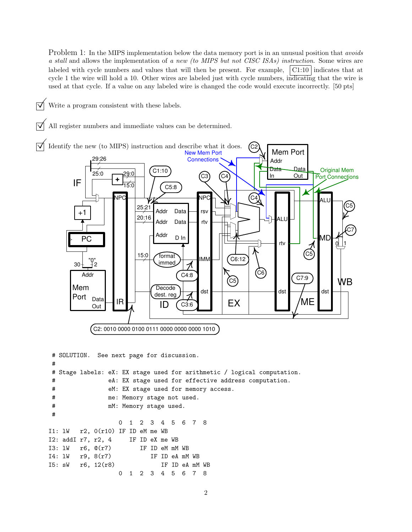Problem 1: In the MIPS implementation below the data memory port is in an unusual position that *avoids* a stall and allows the implementation of a new (to MIPS but not CISC ISAs) instruction. Some wires are labeled with cycle numbers and values that will then be present. For example,  $\vert$  C1:10 indicates that at cycle 1 the wire will hold a 10. Other wires are labeled just with cycle numbers, indicating that the wire is used at that cycle. If a value on any labeled wire is changed the code would execute incorrectly. [50 pts]

 $\triangledown$  Write a program consistent with these labels.

All register numbers and immediate values can be determined.



```
# SOLUTION. See next page for discussion.
#
# Stage labels: eX: EX stage used for arithmetic / logical computation.
# eA: EX stage used for effective address computation.
# eM: EX stage used for memory access.
# me: Memory stage not used.
# mM: Memory stage used.
#
                0 1 2 3 4 5 6 7 8
I1: lW r2, 0(r10) IF ID eM me WB
I2: addI r7, r2, 4 IF ID eX me WB
I3: lW r6, @(r7) IF ID eM mM WB
I4: lW r9, 8(r7) IF ID eA mM WB
I5: sW r6, 12(r8) IF ID eA mM WB
                0 1 2 3 4 5 6 7 8
```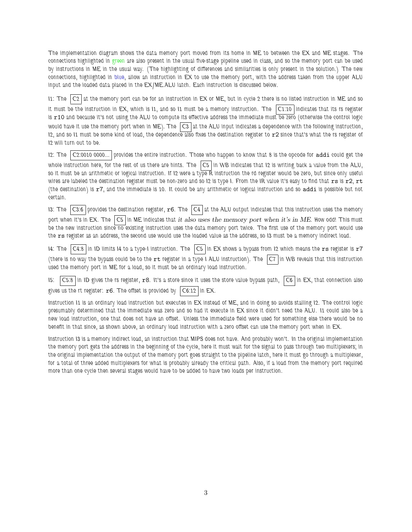The implementation diagram shows the data memory port moved from its home in ME to between the EX and ME stages. The connections highlighted in green are also present in the usual five-stage pipeline used in class, and so the memory port can be used by instructions in ME in the usual way. (The highlighting of differences and similarities is only present in the solution.) The new connections, highlighted in blue, allow an instruction in EX to use the memory port, with the address taken from the upper ALU input and the loaded data placed in the EX/ME.ALU latch. Each instruction is discussed below.

11: The  $|C2|$  at the memory port can be for an instruction in  $EX$  or ME, but in cycle 2 there is no listed instruction in ME and so it must be the instruction in  $EX$ , which is  $11$ , and so  $11$  must be a memory instruction. The  $|C1:10|$  indicates that its rs register is r10 and because it's not using the ALU to compute its effective address the immediate must be zero (otherwise the control logic would have it use the memory port when in ME). The  $|cs|$  at the ALU input indicates a dependence with the following instruction, I2, and so I1 must be some kind of load, the dependence also fixes the destination register to r2 since that's what the rs register of I2 will turn out to be.

I2: The C2:0010 0000... provides the entire instruction. Those who happen to know that 8 is the opcode for addi could get the whole instruction here, for the rest of us there are hints. The  $|Cs|$  in WB indicates that I2 is writing back a value from the ALU, so it must be an arithmetic or logical instruction. If I2 were a type R instruction the rd register would be zero, but since only useful wires are labeled the destination register must be non-zero and so 12 is type I. From the IR value it's easy to find that  $rs$  is  $r2$ ,  $rt$ (the destination) is r7, and the immediate is 10. It could be any arithmetic or logical instruction and so addi is possible but not certain.

13: The  $|C3:6|$  provides the destination register,  $r6$ . The  $|C4|$  at the ALU output indicates that this instruction uses the memory port when it's in EX. The  $|C5|$  in ME indicates that it also uses the memory port when it's in ME. How odd! This must be the new instruction since no existing instruction uses the data memory port twice. The first use of the memory port would use the rs register as an address, the second use would use the loaded value as the address, so 13 must be a memory indirect load.

14: The  $|C4:8|$  in ID limits 14 to a type-I instruction. The  $|C5|$  in EX shows a bypass from 12 which means the rs register is r7 (there is no way the bypass could be to the  $rt$  register in a type I ALU instruction). The  $|C7|$  in WB reveals that this instruction used the memory port in ME for a load, so it must be an ordinary load instruction.

I5: C5:8 in ID gives the rs register, r8. It's a store since it uses the store value bypass path, C6 in EX, that connection also gives us the rt register:  $r6$ . The offset is provided by  $|C6:12|$  in EX.

Instruction I1 is an ordinary load instruction but executes in EX instead of ME, and in doing so avoids stalling I2. The control logic presumably determined that the immediate was zero and so had it execute in EX since it didn't need the ALU. I1 could also be a new load instruction, one that does not have an offset. Unless the immediate field were used for something else there would be no benefit in that since, as shown above, an ordinary load instruction with a zero offset can use the memory port when in EX.

Instruction I3 is a memory indirect load, an instruction that MIPS does not have. And probably won't. In the original implementation the memory port gets the address in the beginning of the cycle, here it must wait for the signal to pass through two multiplexers; in the original implementation the output of the memory port goes straight to the pipeline latch, here it must go through a multiplexer, for a total of three added multiplexers for what is probably already the critical path. Also, if a load from the memory port required more than one cycle then several stages would have to be added to have two loads per instruction.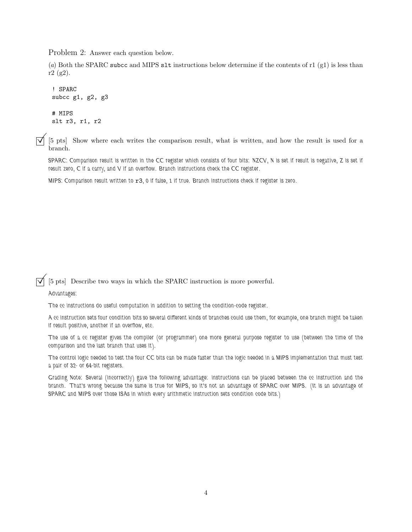Problem 2: Answer each question below.

(a) Both the SPARC subcc and MIPS slt instructions below determine if the contents of r1 (g1) is less than r2 (g2).

```
! SPARC
subcc g1, g2, g3# MIPS
slt r3, r1, r2
```
©[5 pts] Show where each writes the comparison result, what is written, and how the result is used for <sup>a</sup> branch.

SPARC: Comparison result is written in the CC register which consists of four bits: NZCV, N is set if result is negative, Z is set if result zero, C if a carry, and V if an overflow. Branch instructions check the CC register.

MIPS: Comparison result written to r3, 0 if false, 1 if true. Branch instructions check if register is zero.

## $[\vec{\nabla}]$  [5 pts] Describe two ways in which the SPARC instruction is more powerful.

## Advantages:

The cc instructions do useful computation in addition to setting the condition-code register.

A cc instruction sets four condition bits so several different kinds of branches could use them, for example, one branch might be taken if result positive, another if an overflow, etc.

The use of a cc register gives the compiler (or programmer) one more general purpose register to use (between the time of the comparison and the last branch that uses it).

The control logic needed to test the four CC bits can be made faster than the logic needed in a MIPS implementation that must test a pair of 32- or 64-bit registers.

Grading Note: Several (incorrectly) gave the following advantage: instructions can be placed between the cc instruction and the branch. That's wrong because the same is true for MIPS, so it's not an advantage of SPARC over MIPS. (It is an advantage of SPARC and MIPS over those ISAs in which every arithmetic instruction sets condition code bits.)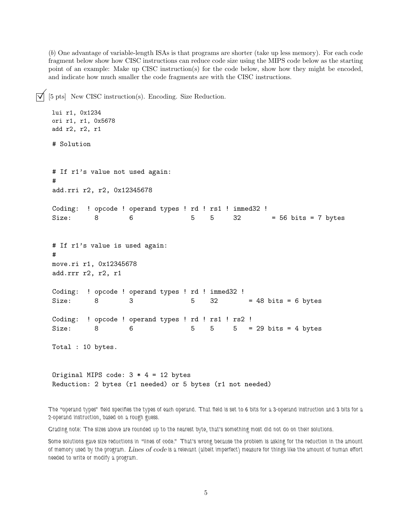(b) One advantage of variable-length ISAs is that programs are shorter (take up less memory). For each code fragment below show how CISC instructions can reduce code size using the MIPS code below as the starting point of an example: Make up CISC instruction(s) for the code below, show how they might be encoded, and indicate how much smaller the code fragments are with the CISC instructions.

 $[5\text{ pts}]$  New CISC instruction(s). Encoding. Size Reduction. lui r1, 0x1234 ori r1, r1, 0x5678 add r2, r2, r1 # Solution # If r1's value not used again: # add.rri r2, r2, 0x12345678 Coding: ! opcode ! operand types ! rd ! rs1 ! immed32 ! Size: 8 6 5 5 32 = 56 bits = 7 bytes # If r1's value is used again: # move.ri r1, 0x12345678 add.rrr r2, r2, r1 Coding: ! opcode ! operand types ! rd ! immed32 ! Size:  $8$  3  $5$   $5$   $32$  = 48 bits = 6 bytes Coding: ! opcode ! operand types ! rd ! rs1 ! rs2 ! Size: 8 6 5 5 5 5 = 29 bits = 4 bytes Total : 10 bytes. Original MIPS code:  $3 * 4 = 12$  bytes Reduction: 2 bytes (r1 needed) or 5 bytes (r1 not needed)

The "operand types" field specifies the types of each operand. That field is set to 6 bits for a 3-operand instruction and 3 bits for a 2-operand instruction, based on a rough guess.

Grading note: The sizes above are rounded up to the nearest byte, that's something most did not do on their solutions.

Some solutions gave size reductions in "lines of code." That's wrong because the problem is asking for the reduction in the amount of memory used by the program. Lines of code is a relevant (albeit imperfect) measure for things like the amount of human effort needed to write or modify a program.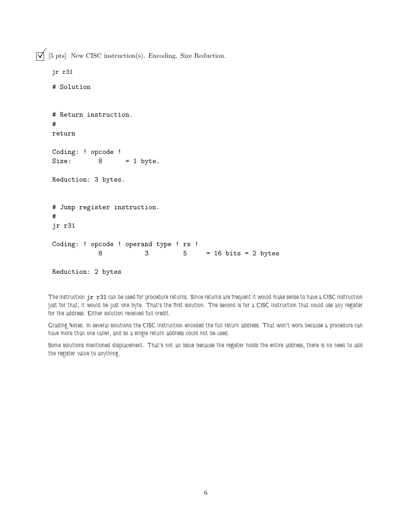$\boxed{\bigtriangledown}$  [5 pts] New CISC instruction(s). Encoding. Size Reduction.

```
jr r31
# Solution
# Return instruction.
#
return
Coding: ! opcode !
Size: 8 = 1 byte.
Reduction: 3 bytes.
# Jump register instruction.
#
jr r31
Coding: ! opcode ! operand type ! rs !
          8 3 5 = 16 bits = 2 bytes
```
Reduction: 2 bytes

The instruction jr r31 can be used for procedure returns. Since returns are frequent it would make sense to have a CISC instruction just for that, it would be just one byte. That's the first solution. The second is for a CISC instruction that could use any register for the address. Either solution received full credit.

Grading Notes: In several solutions the CISC instruction encoded the full return address. That won't work because a procedure can have more than one caller, and so a single return address could not be used.

Some solutions mentioned displacement. That's not an issue because the register holds the entire address, there is no need to add the register value to anything.